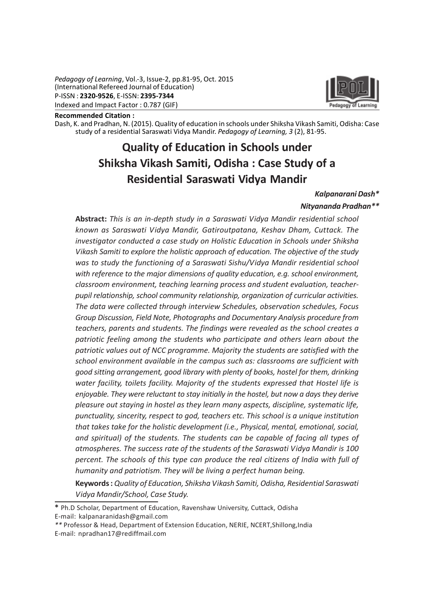Pedagogy of Learning, Vol.-3, Issue-2, pp.81-95, Oct. 2015 (International Refereed Journal of Education) P-ISSN : 2320-9526, E-ISSN: 2395-7344 Indexed and Impact Factor : 0.787 (GIF)



Recommended Citation :

Dash, K. and Pradhan, N. (2015). Quality of education in schools under Shiksha Vikash Samiti, Odisha: Case study of a residential Saraswati Vidya Mandir. Pedagogy of Learning, 3 (2), 81-95.

# Quality of Education in Schools under Shiksha Vikash Samiti, Odisha : Case Study of a Residential Saraswati Vidya Mandir

#### Kalpanarani Dash\*

#### Nityananda Pradhan\*\*

Abstract: This is an in-depth study in a Saraswati Vidya Mandir residential school known as Saraswati Vidya Mandir, Gatiroutpatana, Keshav Dham, Cuttack. The investigator conducted a case study on Holistic Education in Schools under Shiksha Vikash Samiti to explore the holistic approach of education. The objective of the study was to study the functioning of a Saraswati Sishu/Vidya Mandir residential school with reference to the major dimensions of quality education, e.g. school environment, classroom environment, teaching learning process and student evaluation, teacherpupil relationship, school community relationship, organization of curricular activities. The data were collected through interview Schedules, observation schedules, Focus Group Discussion, Field Note, Photographs and Documentary Analysis procedure from teachers, parents and students. The findings were revealed as the school creates a patriotic feeling among the students who participate and others learn about the patriotic values out of NCC programme. Majority the students are satisfied with the school environment available in the campus such as: classrooms are sufficient with good sitting arrangement, good library with plenty of books, hostel for them, drinking water facility, toilets facility. Majority of the students expressed that Hostel life is enjoyable. They were reluctant to stay initially in the hostel, but now a days they derive pleasure out staying in hostel as they learn many aspects, discipline, systematic life, punctuality, sincerity, respect to god, teachers etc. This school is a unique institution that takes take for the holistic development (i.e., Physical, mental, emotional, social, and spiritual) of the students. The students can be capable of facing all types of atmospheres. The success rate of the students of the Saraswati Vidya Mandir is 100 percent. The schools of this type can produce the real citizens of India with full of humanity and patriotism. They will be living a perfect human being.

Keywords : Quality of Education, Shiksha Vikash Samiti, Odisha, Residential Saraswati Vidya Mandir/School, Case Study.

<sup>\*</sup> Ph.D Scholar, Department of Education, Ravenshaw University, Cuttack, Odisha E-mail: kalpanaranidash@gmail.com

<sup>\*\*</sup> Professor & Head, Department of Extension Education, NERIE, NCERT,Shillong,India E-mail: npradhan17@rediffmail.com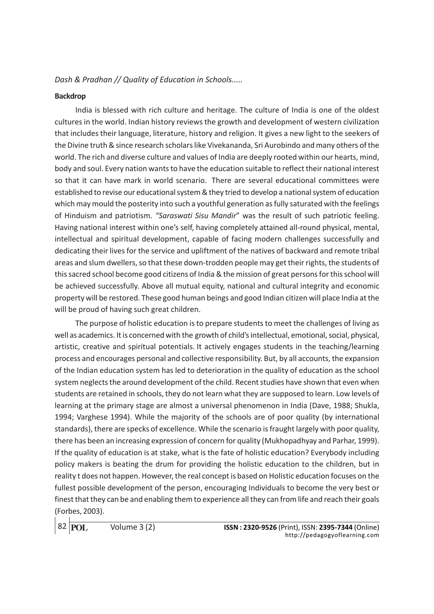#### Backdrop

India is blessed with rich culture and heritage. The culture of India is one of the oldest cultures in the world. Indian history reviews the growth and development of western civilization that includes their language, literature, history and religion. It gives a new light to the seekers of the Divine truth & since research scholars like Vivekananda, Sri Aurobindo and many others of the world. The rich and diverse culture and values of India are deeply rooted within our hearts, mind, body and soul. Every nation wants to have the education suitable to reflect their national interest so that it can have mark in world scenario. There are several educational committees were established to revise our educational system & they tried to develop a national system of education which may mould the posterity into such a youthful generation as fully saturated with the feelings of Hinduism and patriotism. "Saraswati Sisu Mandir" was the result of such patriotic feeling. Having national interest within one's self, having completely attained all-round physical, mental, intellectual and spiritual development, capable of facing modern challenges successfully and dedicating their lives for the service and upliftment of the natives of backward and remote tribal areas and slum dwellers, so that these down-trodden people may get their rights, the students of this sacred school become good citizens of India & the mission of great persons for this school will be achieved successfully. Above all mutual equity, national and cultural integrity and economic property will be restored. These good human beings and good Indian citizen will place India at the will be proud of having such great children.

The purpose of holistic education is to prepare students to meet the challenges of living as well as academics. It is concerned with the growth of child's intellectual, emotional, social, physical, artistic, creative and spiritual potentials. It actively engages students in the teaching/learning process and encourages personal and collective responsibility. But, by all accounts, the expansion of the Indian education system has led to deterioration in the quality of education as the school system neglects the around development of the child. Recent studies have shown that even when students are retained in schools, they do not learn what they are supposed to learn. Low levels of learning at the primary stage are almost a universal phenomenon in India (Dave, 1988; Shukla, 1994; Varghese 1994). While the majority of the schools are of poor quality (by international standards), there are specks of excellence. While the scenario is fraught largely with poor quality, there has been an increasing expression of concern for quality (Mukhopadhyay and Parhar, 1999). If the quality of education is at stake, what is the fate of holistic education? Everybody including policy makers is beating the drum for providing the holistic education to the children, but in reality t does not happen. However, the real concept is based on Holistic education focuses on the fullest possible development of the person, encouraging Individuals to become the very best or finest that they can be and enabling them to experience all they can from life and reach their goals (Forbes, 2003).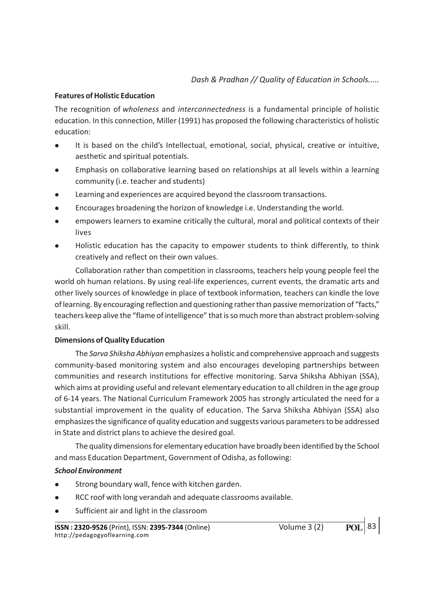# Features of Holistic Education

The recognition of wholeness and interconnectedness is a fundamental principle of holistic education. In this connection, Miller (1991) has proposed the following characteristics of holistic education:

- It is based on the child's Intellectual, emotional, social, physical, creative or intuitive, aesthetic and spiritual potentials.
- <sup>l</sup> Emphasis on collaborative learning based on relationships at all levels within a learning community (i.e. teacher and students)
- <sup>l</sup> Learning and experiences are acquired beyond the classroom transactions.
- <sup>l</sup> Encourages broadening the horizon of knowledge i.e. Understanding the world.
- <sup>l</sup> empowers learners to examine critically the cultural, moral and political contexts of their lives
- <sup>l</sup> Holistic education has the capacity to empower students to think differently, to think creatively and reflect on their own values.

Collaboration rather than competition in classrooms, teachers help young people feel the world oh human relations. By using real-life experiences, current events, the dramatic arts and other lively sources of knowledge in place of textbook information, teachers can kindle the love of learning. By encouraging reflection and questioning rather than passive memorization of "facts," teachers keep alive the "flame of intelligence" that is so much more than abstract problem-solving skill.

#### Dimensions of Quality Education

The Sarva Shiksha Abhiyan emphasizes a holistic and comprehensive approach and suggests community-based monitoring system and also encourages developing partnerships between communities and research institutions for effective monitoring. Sarva Shiksha Abhiyan (SSA), which aims at providing useful and relevant elementary education to all children in the age group of 6-14 years. The National Curriculum Framework 2005 has strongly articulated the need for a substantial improvement in the quality of education. The Sarva Shiksha Abhiyan (SSA) also emphasizes the significance of quality education and suggests various parameters to be addressed in State and district plans to achieve the desired goal.

The quality dimensions for elementary education have broadly been identified by the School and mass Education Department, Government of Odisha, as following:

# School Environment

- **.** Strong boundary wall, fence with kitchen garden.
- RCC roof with long verandah and adequate classrooms available.
- Sufficient air and light in the classroom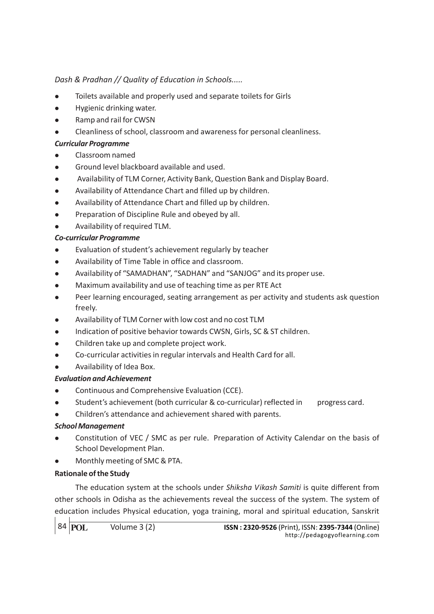- Toilets available and properly used and separate toilets for Girls
- <sup>l</sup> Hygienic drinking water.
- Ramp and rail for CWSN
- <sup>l</sup> Cleanliness of school, classroom and awareness for personal cleanliness.

# Curricular Programme

- <sup>l</sup> Classroom named
- <sup>l</sup> Ground level blackboard available and used.
- <sup>l</sup> Availability of TLM Corner, Activity Bank, Question Bank and Display Board.
- Availability of Attendance Chart and filled up by children.
- Availability of Attendance Chart and filled up by children.
- Preparation of Discipline Rule and obeyed by all.
- Availability of required TLM.

# Co-curricular Programme

- Evaluation of student's achievement regularly by teacher
- <sup>l</sup> Availability of Time Table in office and classroom.
- Availability of "SAMADHAN", "SADHAN" and "SANJOG" and its proper use.
- <sup>l</sup> Maximum availability and use of teaching time as per RTE Act
- <sup>l</sup> Peer learning encouraged, seating arrangement as per activity and students ask question freely.
- <sup>l</sup> Availability of TLM Corner with low cost and no cost TLM
- <sup>l</sup> Indication of positive behavior towards CWSN, Girls, SC & ST children.
- Children take up and complete project work.
- <sup>l</sup> Co-curricular activities in regular intervals and Health Card for all.
- <sup>l</sup> Availability of Idea Box.

# Evaluation and Achievement

- Continuous and Comprehensive Evaluation (CCE).
- Student's achievement (both curricular & co-curricular) reflected in progress card.
- Children's attendance and achievement shared with parents.

# School Management

- <sup>l</sup> Constitution of VEC / SMC as per rule. Preparation of Activity Calendar on the basis of School Development Plan.
- Monthly meeting of SMC & PTA.

# Rationale of the Study

The education system at the schools under Shiksha Vikash Samiti is quite different from other schools in Odisha as the achievements reveal the success of the system. The system of education includes Physical education, yoga training, moral and spiritual education, Sanskrit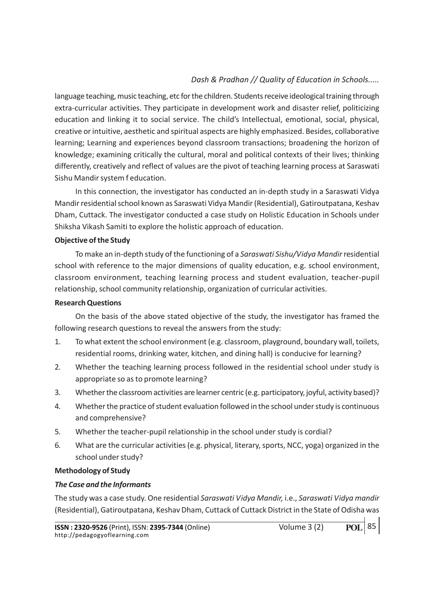language teaching, music teaching, etc for the children. Students receive ideological training through extra-curricular activities. They participate in development work and disaster relief, politicizing education and linking it to social service. The child's Intellectual, emotional, social, physical, creative or intuitive, aesthetic and spiritual aspects are highly emphasized. Besides, collaborative learning; Learning and experiences beyond classroom transactions; broadening the horizon of knowledge; examining critically the cultural, moral and political contexts of their lives; thinking differently, creatively and reflect of values are the pivot of teaching learning process at Saraswati Sishu Mandir system f education.

In this connection, the investigator has conducted an in-depth study in a Saraswati Vidya Mandir residential school known as Saraswati Vidya Mandir (Residential), Gatiroutpatana, Keshav Dham, Cuttack. The investigator conducted a case study on Holistic Education in Schools under Shiksha Vikash Samiti to explore the holistic approach of education.

#### Objective of the Study

To make an in-depth study of the functioning of a Saraswati Sishu/Vidya Mandir residential school with reference to the major dimensions of quality education, e.g. school environment, classroom environment, teaching learning process and student evaluation, teacher-pupil relationship, school community relationship, organization of curricular activities.

#### Research Questions

On the basis of the above stated objective of the study, the investigator has framed the following research questions to reveal the answers from the study:

- 1. To what extent the school environment (e.g. classroom, playground, boundary wall, toilets, residential rooms, drinking water, kitchen, and dining hall) is conducive for learning?
- 2. Whether the teaching learning process followed in the residential school under study is appropriate so as to promote learning?
- 3. Whether the classroom activities are learner centric (e.g. participatory, joyful, activity based)?
- 4. Whether the practice of student evaluation followed in the school under study is continuous and comprehensive?
- 5. Whether the teacher-pupil relationship in the school under study is cordial?
- 6. What are the curricular activities (e.g. physical, literary, sports, NCC, yoga) organized in the school under study?

#### Methodology of Study

# The Case and the Informants

The study was a case study. One residential Saraswati Vidya Mandir, i.e., Saraswati Vidya mandir (Residential), Gatiroutpatana, Keshav Dham, Cuttack of Cuttack District in the State of Odisha was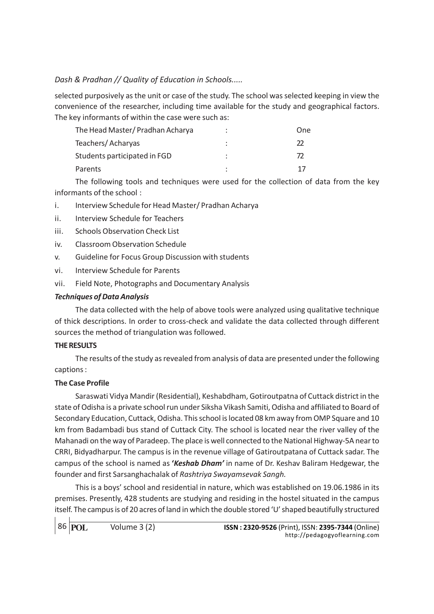selected purposively as the unit or case of the study. The school was selected keeping in view the convenience of the researcher, including time available for the study and geographical factors. The key informants of within the case were such as:

| The Head Master/ Pradhan Acharya | $\bullet$ | One |
|----------------------------------|-----------|-----|
| Teachers/Acharyas                |           |     |
| Students participated in FGD     |           |     |
| Parents                          |           |     |

The following tools and techniques were used for the collection of data from the key informants of the school :

- i. Interview Schedule for Head Master/ Pradhan Acharya
- ii. Interview Schedule for Teachers
- iii. Schools Observation Check List
- iv. Classroom Observation Schedule
- v. Guideline for Focus Group Discussion with students
- vi. Interview Schedule for Parents
- vii. Field Note, Photographs and Documentary Analysis

#### Techniques of Data Analysis

The data collected with the help of above tools were analyzed using qualitative technique of thick descriptions. In order to cross-check and validate the data collected through different sources the method of triangulation was followed.

#### THE RESULTS

The results of the study as revealed from analysis of data are presented under the following captions :

#### The Case Profile

Saraswati Vidya Mandir (Residential), Keshabdham, Gotiroutpatna of Cuttack district in the state of Odisha is a private school run under Siksha Vikash Samiti, Odisha and affiliated to Board of Secondary Education, Cuttack, Odisha. This school is located 08 km away from OMP Square and 10 km from Badambadi bus stand of Cuttack City. The school is located near the river valley of the Mahanadi on the way of Paradeep. The place is well connected to the National Highway-5A near to CRRI, Bidyadharpur. The campus is in the revenue village of Gatiroutpatana of Cuttack sadar. The campus of the school is named as 'Keshab Dham' in name of Dr. Keshav Baliram Hedgewar, the founder and first Sarsanghachalak of Rashtriya Swayamsevak Sangh.

This is a boys' school and residential in nature, which was established on 19.06.1986 in its premises. Presently, 428 students are studying and residing in the hostel situated in the campus itself. The campus is of 20 acres of land in which the double stored 'U' shaped beautifully structured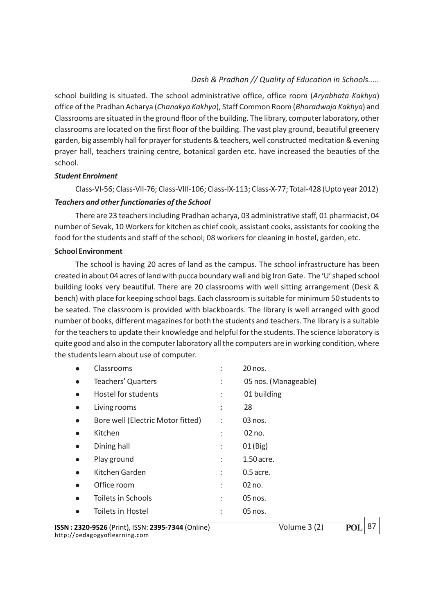school building is situated. The school administrative office, office room (Aryabhata Kakhya) office of the Pradhan Acharya (Chanakya Kakhya), Staff Common Room (Bharadwaja Kakhya) and Classrooms are situated in the ground floor of the building. The library, computer laboratory, other classrooms are located on the first floor of the building. The vast play ground, beautiful greenery garden, big assembly hall for prayer for students & teachers, well constructed meditation & evening prayer hall, teachers training centre, botanical garden etc. have increased the beauties of the school.

#### Student Enrolment

Class-VI-56; Class-VII-76; Class-VIII-106; Class-IX-113; Class-X-77; Total-428 (Upto year 2012)

#### Teachers and other functionaries of the School

There are 23 teachers including Pradhan acharya, 03 administrative staff, 01 pharmacist, 04 number of Sevak, 10 Workers for kitchen as chief cook, assistant cooks, assistants for cooking the food for the students and staff of the school; 08 workers for cleaning in hostel, garden, etc.

#### School Environment

The school is having 20 acres of land as the campus. The school infrastructure has been created in about 04 acres of land with pucca boundary wall and big Iron Gate. The 'U' shaped school building looks very beautiful. There are 20 classrooms with well sitting arrangement (Desk & bench) with place for keeping school bags. Each classroom is suitable for minimum 50 students to be seated. The classroom is provided with blackboards. The library is well arranged with good number of books, different magazines for both the students and teachers. The library is a suitable for the teachers to update their knowledge and helpful for the students. The science laboratory is quite good and also in the computer laboratory all the computers are in working condition, where the students learn about use of computer.

|           | Classrooms                        | $\ddot{\cdot}$ | 20 nos.              |
|-----------|-----------------------------------|----------------|----------------------|
| $\bullet$ | <b>Teachers' Quarters</b>         | $\ddot{\cdot}$ | 05 nos. (Manageable) |
| $\bullet$ | Hostel for students               | ÷              | 01 building          |
| $\bullet$ | Living rooms                      | $\ddot{\cdot}$ | 28                   |
| $\bullet$ | Bore well (Electric Motor fitted) | $\ddot{\cdot}$ | 03 nos.              |
|           | Kitchen                           | ÷              | 02 no.               |
|           | Dining hall                       | ÷              | $01$ (Big)           |
| $\bullet$ | Play ground                       | t              | 1.50 acre.           |
|           | Kitchen Garden                    | ÷              | $0.5$ acre.          |
|           | Office room                       | ÷              | 02 no.               |
|           | Toilets in Schools                | $\ddot{\cdot}$ | 05 nos.              |
|           | Toilets in Hostel                 | ÷              | 05 nos.              |
|           |                                   |                |                      |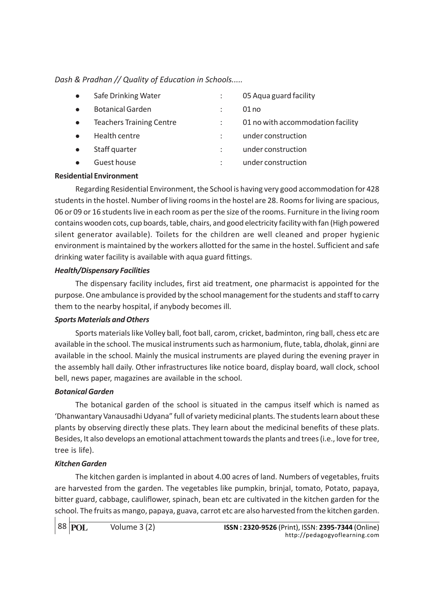• Safe Drinking Water : 05 Aqua guard facility **e** Botanical Garden : 01 no <sup>l</sup> Teachers Training Centre : 01 no with accommodation facility • Health centre  $\qquad \qquad$ : under construction • Staff quarter  $\cdot$  : under construction • Guest house  $\bullet$  is the under construction

## Residential Environment

Regarding Residential Environment, the School is having very good accommodation for 428 students in the hostel. Number of living rooms in the hostel are 28. Rooms for living are spacious, 06 or 09 or 16 students live in each room as per the size of the rooms. Furniture in the living room contains wooden cots, cup boards, table, chairs, and good electricity facility with fan (High powered silent generator available). Toilets for the children are well cleaned and proper hygienic environment is maintained by the workers allotted for the same in the hostel. Sufficient and safe drinking water facility is available with aqua guard fittings.

#### Health/Dispensary Facilities

The dispensary facility includes, first aid treatment, one pharmacist is appointed for the purpose. One ambulance is provided by the school management for the students and staff to carry them to the nearby hospital, if anybody becomes ill.

#### Sports Materials and Others

Sports materials like Volley ball, foot ball, carom, cricket, badminton, ring ball, chess etc are available in the school. The musical instruments such as harmonium, flute, tabla, dholak, ginni are available in the school. Mainly the musical instruments are played during the evening prayer in the assembly hall daily. Other infrastructures like notice board, display board, wall clock, school bell, news paper, magazines are available in the school.

#### Botanical Garden

The botanical garden of the school is situated in the campus itself which is named as 'Dhanwantary Vanausadhi Udyana" full of variety medicinal plants. The students learn about these plants by observing directly these plats. They learn about the medicinal benefits of these plats. Besides, It also develops an emotional attachment towards the plants and trees (i.e., love for tree, tree is life).

#### Kitchen Garden

The kitchen garden is implanted in about 4.00 acres of land. Numbers of vegetables, fruits are harvested from the garden. The vegetables like pumpkin, brinjal, tomato, Potato, papaya, bitter guard, cabbage, cauliflower, spinach, bean etc are cultivated in the kitchen garden for the school. The fruits as mango, papaya, guava, carrot etc are also harvested from the kitchen garden.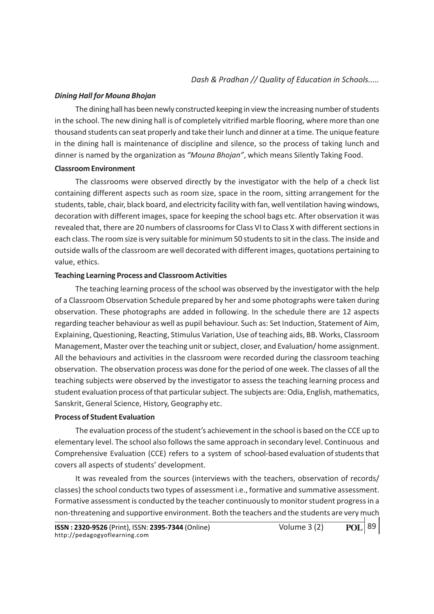#### Dining Hall for Mouna Bhojan

The dining hall has been newly constructed keeping in view the increasing number of students in the school. The new dining hall is of completely vitrified marble flooring, where more than one thousand students can seat properly and take their lunch and dinner at a time. The unique feature in the dining hall is maintenance of discipline and silence, so the process of taking lunch and dinner is named by the organization as "Mouna Bhojan", which means Silently Taking Food.

#### Classroom Environment

The classrooms were observed directly by the investigator with the help of a check list containing different aspects such as room size, space in the room, sitting arrangement for the students, table, chair, black board, and electricity facility with fan, well ventilation having windows, decoration with different images, space for keeping the school bags etc. After observation it was revealed that, there are 20 numbers of classrooms for Class VI to Class X with different sections in each class. The room size is very suitable for minimum 50 students to sit in the class. The inside and outside walls of the classroom are well decorated with different images, quotations pertaining to value, ethics.

#### Teaching Learning Process and Classroom Activities

The teaching learning process of the school was observed by the investigator with the help of a Classroom Observation Schedule prepared by her and some photographs were taken during observation. These photographs are added in following. In the schedule there are 12 aspects regarding teacher behaviour as well as pupil behaviour. Such as: Set Induction, Statement of Aim, Explaining, Questioning, Reacting, Stimulus Variation, Use of teaching aids, BB. Works, Classroom Management, Master over the teaching unit or subject, closer, and Evaluation/ home assignment. All the behaviours and activities in the classroom were recorded during the classroom teaching observation. The observation process was done for the period of one week. The classes of all the teaching subjects were observed by the investigator to assess the teaching learning process and student evaluation process of that particular subject. The subjects are: Odia, English, mathematics, Sanskrit, General Science, History, Geography etc.

#### Process of Student Evaluation

The evaluation process of the student's achievement in the school is based on the CCE up to elementary level. The school also follows the same approach in secondary level. Continuous and Comprehensive Evaluation (CCE) refers to a system of school-based evaluation of students that covers all aspects of students' development.

It was revealed from the sources (interviews with the teachers, observation of records/ classes) the school conducts two types of assessment i.e., formative and summative assessment. Formative assessment is conducted by the teacher continuously to monitor student progress in a non-threatening and supportive environment. Both the teachers and the students are very much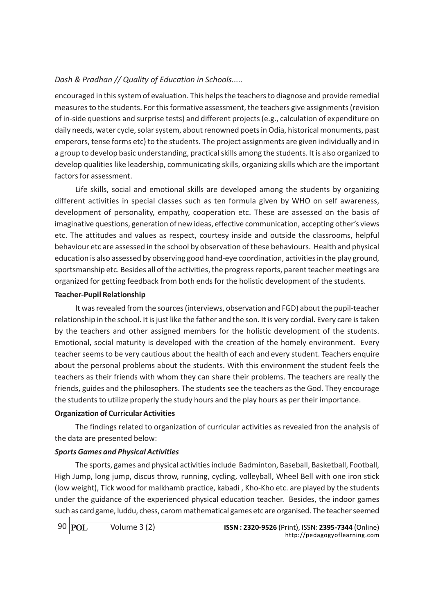encouraged in this system of evaluation. This helps the teachers to diagnose and provide remedial measures to the students. For this formative assessment, the teachers give assignments (revision of in-side questions and surprise tests) and different projects (e.g., calculation of expenditure on daily needs, water cycle, solar system, about renowned poets in Odia, historical monuments, past emperors, tense forms etc) to the students. The project assignments are given individually and in a group to develop basic understanding, practical skills among the students. It is also organized to develop qualities like leadership, communicating skills, organizing skills which are the important factors for assessment.

Life skills, social and emotional skills are developed among the students by organizing different activities in special classes such as ten formula given by WHO on self awareness, development of personality, empathy, cooperation etc. These are assessed on the basis of imaginative questions, generation of new ideas, effective communication, accepting other's views etc. The attitudes and values as respect, courtesy inside and outside the classrooms, helpful behaviour etc are assessed in the school by observation of these behaviours. Health and physical education is also assessed by observing good hand-eye coordination, activities in the play ground, sportsmanship etc. Besides all of the activities, the progress reports, parent teacher meetings are organized for getting feedback from both ends for the holistic development of the students.

## Teacher-Pupil Relationship

It was revealed from the sources (interviews, observation and FGD) about the pupil-teacher relationship in the school. It is just like the father and the son. It is very cordial. Every care is taken by the teachers and other assigned members for the holistic development of the students. Emotional, social maturity is developed with the creation of the homely environment. Every teacher seems to be very cautious about the health of each and every student. Teachers enquire about the personal problems about the students. With this environment the student feels the teachers as their friends with whom they can share their problems. The teachers are really the friends, guides and the philosophers. The students see the teachers as the God. They encourage the students to utilize properly the study hours and the play hours as per their importance.

# Organization of Curricular Activities

The findings related to organization of curricular activities as revealed fron the analysis of the data are presented below:

# Sports Games and Physical Activities

The sports, games and physical activities include Badminton, Baseball, Basketball, Football, High Jump, long jump, discus throw, running, cycling, volleyball, Wheel Bell with one iron stick (low weight), Tick wood for malkhamb practice, kabadi , Kho-Kho etc. are played by the students under the guidance of the experienced physical education teacher. Besides, the indoor games such as card game, luddu, chess, carom mathematical games etc are organised. The teacher seemed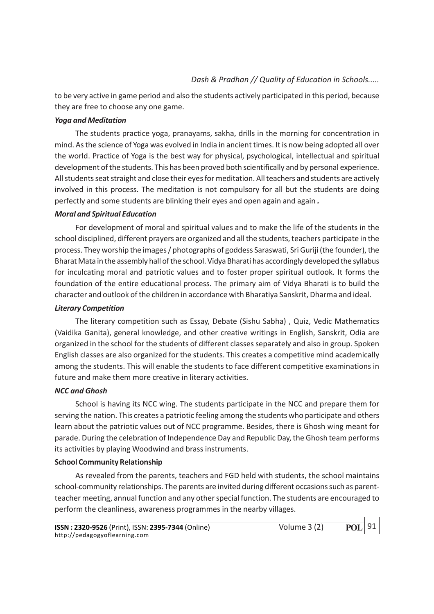to be very active in game period and also the students actively participated in this period, because they are free to choose any one game.

#### Yoga and Meditation

The students practice yoga, pranayams, sakha, drills in the morning for concentration in mind. As the science of Yoga was evolved in India in ancient times. It is now being adopted all over the world. Practice of Yoga is the best way for physical, psychological, intellectual and spiritual development of the students. This has been proved both scientifically and by personal experience. All students seat straight and close their eyes for meditation. All teachers and students are actively involved in this process. The meditation is not compulsory for all but the students are doing perfectly and some students are blinking their eyes and open again and again .

#### Moral and Spiritual Education

For development of moral and spiritual values and to make the life of the students in the school disciplined, different prayers are organized and all the students, teachers participate in the process. They worship the images / photographs of goddess Saraswati, Sri Guriji (the founder), the Bharat Mata in the assembly hall of the school. Vidya Bharati has accordingly developed the syllabus for inculcating moral and patriotic values and to foster proper spiritual outlook. It forms the foundation of the entire educational process. The primary aim of Vidya Bharati is to build the character and outlook of the children in accordance with Bharatiya Sanskrit, Dharma and ideal.

#### Literary Competition

The literary competition such as Essay, Debate (Sishu Sabha) , Quiz, Vedic Mathematics (Vaidika Ganita), general knowledge, and other creative writings in English, Sanskrit, Odia are organized in the school for the students of different classes separately and also in group. Spoken English classes are also organized for the students. This creates a competitive mind academically among the students. This will enable the students to face different competitive examinations in future and make them more creative in literary activities.

# NCC and Ghosh

School is having its NCC wing. The students participate in the NCC and prepare them for serving the nation. This creates a patriotic feeling among the students who participate and others learn about the patriotic values out of NCC programme. Besides, there is Ghosh wing meant for parade. During the celebration of Independence Day and Republic Day, the Ghosh team performs its activities by playing Woodwind and brass instruments.

#### School Community Relationship

As revealed from the parents, teachers and FGD held with students, the school maintains school-community relationships. The parents are invited during different occasions such as parentteacher meeting, annual function and any other special function. The students are encouraged to perform the cleanliness, awareness programmes in the nearby villages.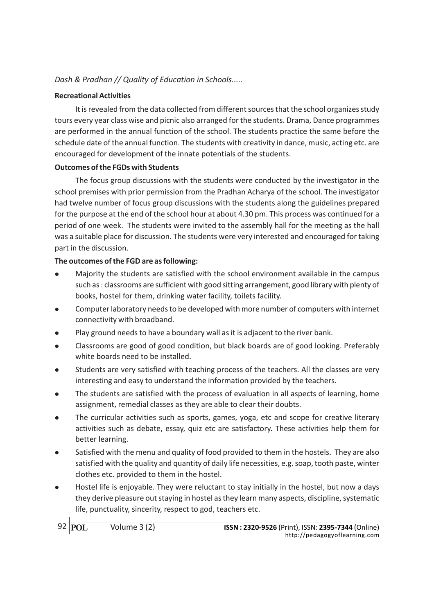# Recreational Activities

It is revealed from the data collected from different sources that the school organizes study tours every year class wise and picnic also arranged for the students. Drama, Dance programmes are performed in the annual function of the school. The students practice the same before the schedule date of the annual function. The students with creativity in dance, music, acting etc. are encouraged for development of the innate potentials of the students.

## Outcomes of the FGDs with Students

The focus group discussions with the students were conducted by the investigator in the school premises with prior permission from the Pradhan Acharya of the school. The investigator had twelve number of focus group discussions with the students along the guidelines prepared for the purpose at the end of the school hour at about 4.30 pm. This process was continued for a period of one week. The students were invited to the assembly hall for the meeting as the hall was a suitable place for discussion. The students were very interested and encouraged for taking part in the discussion.

# The outcomes of the FGD are as following:

- <sup>l</sup> Majority the students are satisfied with the school environment available in the campus such as : classrooms are sufficient with good sitting arrangement, good library with plenty of books, hostel for them, drinking water facility, toilets facility.
- <sup>l</sup> Computer laboratory needs to be developed with more number of computers with internet connectivity with broadband.
- Play ground needs to have a boundary wall as it is adjacent to the river bank.
- <sup>l</sup> Classrooms are good of good condition, but black boards are of good looking. Preferably white boards need to be installed.
- <sup>l</sup> Students are very satisfied with teaching process of the teachers. All the classes are very interesting and easy to understand the information provided by the teachers.
- The students are satisfied with the process of evaluation in all aspects of learning, home assignment, remedial classes as they are able to clear their doubts.
- <sup>l</sup> The curricular activities such as sports, games, yoga, etc and scope for creative literary activities such as debate, essay, quiz etc are satisfactory. These activities help them for better learning.
- <sup>l</sup> Satisfied with the menu and quality of food provided to them in the hostels. They are also satisfied with the quality and quantity of daily life necessities, e.g. soap, tooth paste, winter clothes etc. provided to them in the hostel.
- Hostel life is enjoyable. They were reluctant to stay initially in the hostel, but now a days they derive pleasure out staying in hostel as they learn many aspects, discipline, systematic life, punctuality, sincerity, respect to god, teachers etc.

92 **POL**

Volume 3 (2) ISSN : 2320-9526 (Print), ISSN: 2395-7344 (Online) http://pedagogyoflearning.com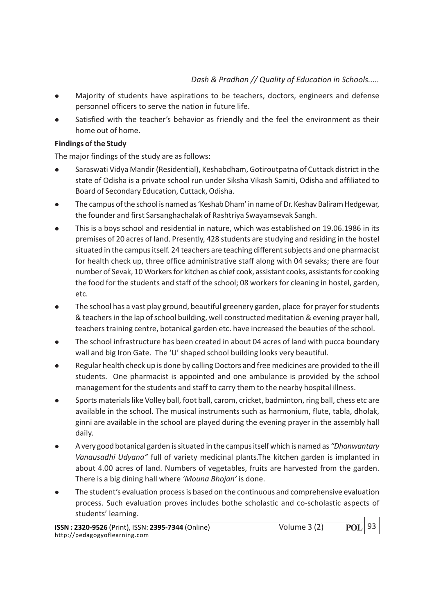- <sup>l</sup> Majority of students have aspirations to be teachers, doctors, engineers and defense personnel officers to serve the nation in future life.
- Satisfied with the teacher's behavior as friendly and the feel the environment as their home out of home.

# Findings of the Study

The major findings of the study are as follows:

- <sup>l</sup> Saraswati Vidya Mandir (Residential), Keshabdham, Gotiroutpatna of Cuttack district in the state of Odisha is a private school run under Siksha Vikash Samiti, Odisha and affiliated to Board of Secondary Education, Cuttack, Odisha.
- <sup>l</sup> The campus of the school is named as 'Keshab Dham' in name of Dr. Keshav Baliram Hedgewar, the founder and first Sarsanghachalak of Rashtriya Swayamsevak Sangh.
- <sup>l</sup> This is a boys school and residential in nature, which was established on 19.06.1986 in its premises of 20 acres of land. Presently, 428 students are studying and residing in the hostel situated in the campus itself. 24 teachers are teaching different subjects and one pharmacist for health check up, three office administrative staff along with 04 sevaks; there are four number of Sevak, 10 Workers for kitchen as chief cook, assistant cooks, assistants for cooking the food for the students and staff of the school; 08 workers for cleaning in hostel, garden, etc.
- The school has a vast play ground, beautiful greenery garden, place for prayer for students & teachers in the lap of school building, well constructed meditation & evening prayer hall, teachers training centre, botanical garden etc. have increased the beauties of the school.
- <sup>l</sup> The school infrastructure has been created in about 04 acres of land with pucca boundary wall and big Iron Gate. The 'U' shaped school building looks very beautiful.
- <sup>l</sup> Regular health check up is done by calling Doctors and free medicines are provided to the ill students. One pharmacist is appointed and one ambulance is provided by the school management for the students and staff to carry them to the nearby hospital illness.
- <sup>l</sup> Sports materials like Volley ball, foot ball, carom, cricket, badminton, ring ball, chess etc are available in the school. The musical instruments such as harmonium, flute, tabla, dholak, ginni are available in the school are played during the evening prayer in the assembly hall daily.
- A very good botanical garden is situated in the campus itself which is named as "Dhanwantary" Vanausadhi Udyana" full of variety medicinal plants.The kitchen garden is implanted in about 4.00 acres of land. Numbers of vegetables, fruits are harvested from the garden. There is a big dining hall where 'Mouna Bhojan' is done.
- <sup>l</sup> The student's evaluation process is based on the continuous and comprehensive evaluation process. Such evaluation proves includes bothe scholastic and co-scholastic aspects of students' learning.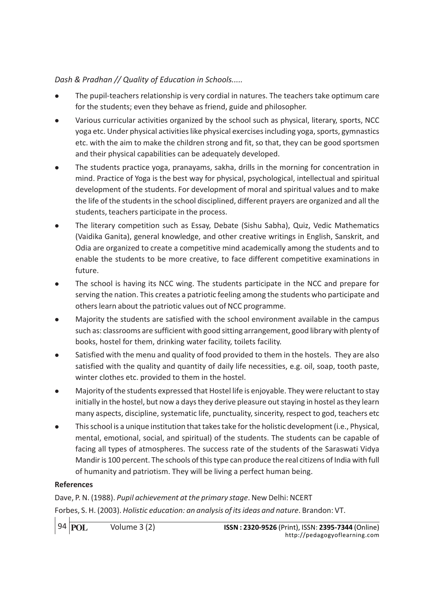- <sup>l</sup> The pupil-teachers relationship is very cordial in natures. The teachers take optimum care for the students; even they behave as friend, guide and philosopher.
- <sup>l</sup> Various curricular activities organized by the school such as physical, literary, sports, NCC yoga etc. Under physical activities like physical exercises including yoga, sports, gymnastics etc. with the aim to make the children strong and fit, so that, they can be good sportsmen and their physical capabilities can be adequately developed.
- <sup>l</sup> The students practice yoga, pranayams, sakha, drills in the morning for concentration in mind. Practice of Yoga is the best way for physical, psychological, intellectual and spiritual development of the students. For development of moral and spiritual values and to make the life of the students in the school disciplined, different prayers are organized and all the students, teachers participate in the process.
- The literary competition such as Essay, Debate (Sishu Sabha), Quiz, Vedic Mathematics (Vaidika Ganita), general knowledge, and other creative writings in English, Sanskrit, and Odia are organized to create a competitive mind academically among the students and to enable the students to be more creative, to face different competitive examinations in future.
- The school is having its NCC wing. The students participate in the NCC and prepare for serving the nation. This creates a patriotic feeling among the students who participate and others learn about the patriotic values out of NCC programme.
- <sup>l</sup> Majority the students are satisfied with the school environment available in the campus such as: classrooms are sufficient with good sitting arrangement, good library with plenty of books, hostel for them, drinking water facility, toilets facility.
- Satisfied with the menu and quality of food provided to them in the hostels. They are also satisfied with the quality and quantity of daily life necessities, e.g. oil, soap, tooth paste, winter clothes etc. provided to them in the hostel.
- <sup>l</sup> Majority of the students expressed that Hostel life is enjoyable. They were reluctant to stay initially in the hostel, but now a days they derive pleasure out staying in hostel as they learn many aspects, discipline, systematic life, punctuality, sincerity, respect to god, teachers etc
- <sup>l</sup> This school is a unique institution that takes take for the holistic development (i.e., Physical, mental, emotional, social, and spiritual) of the students. The students can be capable of facing all types of atmospheres. The success rate of the students of the Saraswati Vidya Mandir is 100 percent. The schools of this type can produce the real citizens of India with full of humanity and patriotism. They will be living a perfect human being.

# References

Dave, P. N. (1988). Pupil achievement at the primary stage. New Delhi: NCERT Forbes, S. H. (2003). Holistic education: an analysis of its ideas and nature. Brandon: VT.

94 **POL**